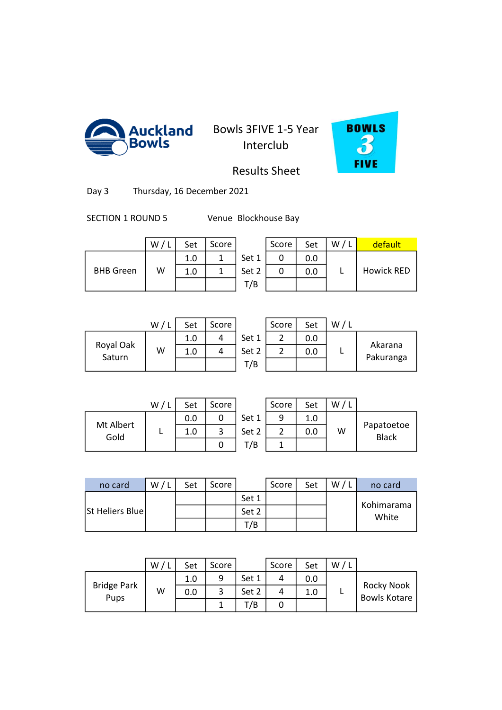



Results Sheet

Day 3 Thursday, 16 December 2021

SECTION 1 ROUND 5 Venue Blockhouse Bay

|                  | W/L | Set | Score |    |
|------------------|-----|-----|-------|----|
|                  |     | 1.0 |       | Sє |
| <b>BHB Green</b> | w   | 1.0 |       | Sє |
|                  |     |     |       |    |

|                  | W | Set | Score |       | Score | Set | W/1 | default    |
|------------------|---|-----|-------|-------|-------|-----|-----|------------|
|                  |   | 1.0 |       | Set 1 |       | 0.0 |     |            |
| <b>BHB Green</b> | w | 1.0 |       | Set 2 |       | 0.0 |     | Howick RED |
|                  |   |     |       | T/B   |       |     |     |            |

|                     | W/1 | Set | Score |       | Score | Set |  |
|---------------------|-----|-----|-------|-------|-------|-----|--|
|                     |     | 1.0 |       | Set 1 |       | 0.0 |  |
| Royal Oak<br>Saturn | W   | 1.0 |       | Set 2 |       | 0.0 |  |
|                     |     |     |       | T/B   |       |     |  |
|                     |     |     |       |       |       |     |  |

| W | Set | Score |       | Score | Set | W |                      |
|---|-----|-------|-------|-------|-----|---|----------------------|
|   | 1.0 |       | Set 1 |       | 0.0 |   |                      |
| W | 1.0 |       | Set 2 |       | 0.0 |   | Akarana<br>Pakuranga |
|   |     |       | T/B   |       |     |   |                      |

|           | W/L | Set | Score |    |
|-----------|-----|-----|-------|----|
| Mt Albert |     | 0.0 |       | Se |
| Gold      |     | 1.0 |       | SЄ |
|           |     |     |       |    |

|          | W/1 | Set | Score |       | Score | Set | W |                            |
|----------|-----|-----|-------|-------|-------|-----|---|----------------------------|
| t Albert |     | 0.0 |       | Set 1 | 9     | 1.0 |   |                            |
| Gold     |     | 1.0 | 3     | Set 2 |       | 0.0 | W | Papatoetoe<br><b>Black</b> |
|          |     |     |       | T/B   |       |     |   |                            |
|          |     |     |       |       |       |     |   |                            |

| no card                 | W/I | Set | Score |       | Score | Set | W | no card             |
|-------------------------|-----|-----|-------|-------|-------|-----|---|---------------------|
|                         |     |     |       | Set 1 |       |     |   |                     |
| <b>St Heliers Bluel</b> |     |     |       | Set 2 |       |     |   | Kohimarama<br>White |
|                         |     |     |       | Г/В   |       |     |   |                     |
|                         |     |     |       |       |       |     |   |                     |

|                    | W | Set | Score |       | Score | Set | W |                                   |
|--------------------|---|-----|-------|-------|-------|-----|---|-----------------------------------|
|                    |   | 1.0 | 9     | Set 1 |       | 0.0 |   |                                   |
| <b>Bridge Park</b> | w | 0.0 | 3     | Set 2 |       | 1.0 |   | Rocky Nook<br><b>Bowls Kotare</b> |
| Pups               |   |     |       | T/B   |       |     |   |                                   |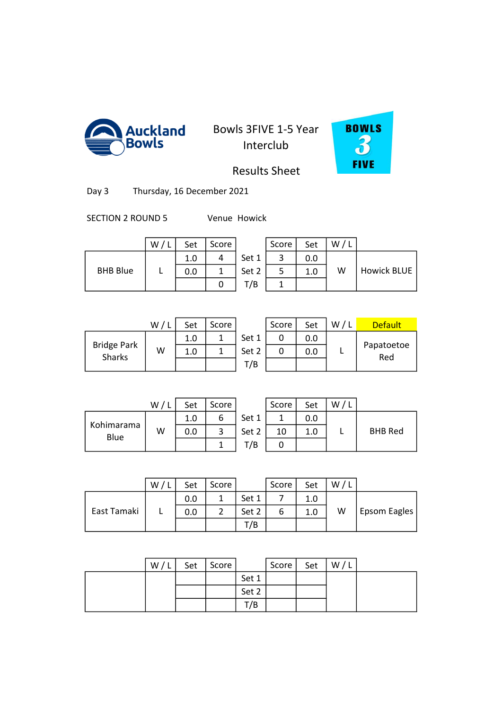



Results Sheet

Day 3 Thursday, 16 December 2021

SECTION 2 ROUND 5 Venue Howick

|                 | W | Set | Score |       | Score | Set | w |
|-----------------|---|-----|-------|-------|-------|-----|---|
|                 |   | 1.0 |       | Set 1 | ◠     | 0.0 |   |
| <b>BHB Blue</b> |   | 0.0 |       | Set 2 |       | 1.0 | w |
|                 |   |     |       | T/B   |       |     |   |

|                 | W | Set | Score |       | Score | Set | W/I |             |
|-----------------|---|-----|-------|-------|-------|-----|-----|-------------|
|                 |   | 1.0 |       | Set 1 |       | 0.0 |     |             |
| <b>BHB Blue</b> |   | 0.0 |       | Set 2 |       | 1.0 | W   | Howick BLUE |
|                 |   |     |       | T/B   |       |     |     |             |

|                                     | W/L | Set | Score |    |
|-------------------------------------|-----|-----|-------|----|
|                                     |     | 1.0 |       | S٤ |
| <b>Bridge Park</b><br><b>Sharks</b> | w   | 1.0 |       | S٤ |
|                                     |     |     |       |    |

|                            | W/ | Set | Score |       | Score | Set | W/L | <b>Default</b>    |
|----------------------------|----|-----|-------|-------|-------|-----|-----|-------------------|
|                            |    | 1.0 |       | Set 1 | 0     | 0.0 |     |                   |
| idge Park<br><b>Sharks</b> | W  | 1.0 |       | Set 2 | 0     | 0.0 |     | Papatoetoe<br>Red |
|                            |    |     |       | T/B   |       |     |     |                   |
|                            |    |     |       |       |       |     |     |                   |

|                    | W/L | Set | Score |    |
|--------------------|-----|-----|-------|----|
|                    |     | 1.0 | Б     | Se |
| Kohimarama<br>Blue | W   | 0.0 |       | Se |
|                    |     |     |       |    |

|                 | W/1 | Set | Score |       | Score | Set | W |                |
|-----------------|-----|-----|-------|-------|-------|-----|---|----------------|
|                 |     | 1.0 | ь     | Set 1 |       | 0.0 |   |                |
| imarama<br>Blue | W   | 0.0 |       | Set 2 | 10    | 1.0 |   | <b>BHB Red</b> |
|                 |     |     |       | /B    |       |     |   |                |

|             | W | Set | Score |       | Score | Set | W |              |
|-------------|---|-----|-------|-------|-------|-----|---|--------------|
|             |   | 0.0 | 1     | Set 1 |       | 1.0 |   |              |
| East Tamaki |   | 0.0 | っ     | Set 2 | ь     | 1.0 | W | Epsom Eagles |
|             |   |     |       | T/B   |       |     |   |              |
|             |   |     |       |       |       |     |   |              |

3 1.0 9 11 1.0 0

| W/L | Set   Score |       | Score | Set | W/L |  |
|-----|-------------|-------|-------|-----|-----|--|
|     |             | Set 1 |       |     |     |  |
|     |             | Set 2 |       |     |     |  |
|     |             | T/B   |       |     |     |  |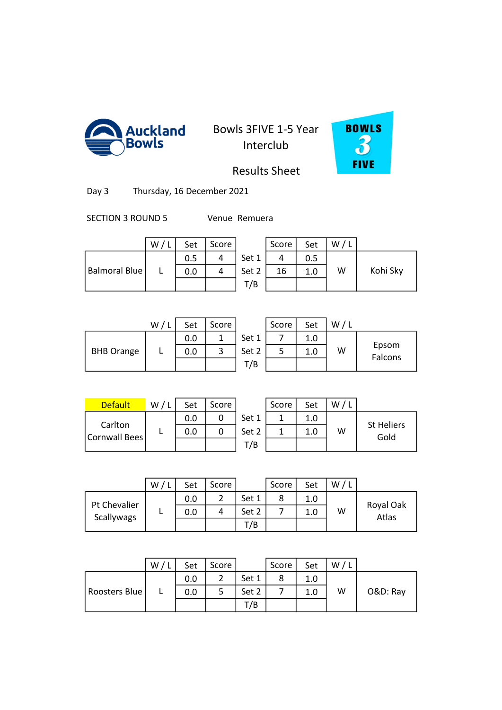



Results Sheet

Day 3 Thursday, 16 December 2021

SECTION 3 ROUND 5 Venue Remuera

|               | w | Set | Score |       | Score | Set | w |          |
|---------------|---|-----|-------|-------|-------|-----|---|----------|
|               |   | 0.5 | 4     | Set 1 |       | 0.5 |   |          |
| Balmoral Blue |   | 0.0 | 4     | Set 2 | 16    | 1.0 | W | Kohi Sky |
|               |   |     |       | T/B   |       |     |   |          |

|                   | W | Set | Score |       | Score | Set | W/L |                  |
|-------------------|---|-----|-------|-------|-------|-----|-----|------------------|
|                   |   | 0.0 | 1     | Set 1 |       | 1.0 |     |                  |
| <b>BHB Orange</b> |   | 0.0 | 3     | Set 2 |       | 1.0 | W   | Epsom<br>Falcons |
|                   |   |     |       | T/B   |       |     |     |                  |
|                   |   |     |       |       |       |     |     |                  |

| W | Set | Score |       | Score | Set | w |                  |
|---|-----|-------|-------|-------|-----|---|------------------|
|   | 0.0 |       | Set 1 |       | 1.0 |   |                  |
|   | 0.0 |       | Set 2 |       | 1.0 | W | Epsom<br>Falcons |
|   |     |       | T/B   |       |     |   |                  |

| <b>Default</b>           | W / | Set | Score |       | Score | Set | w |
|--------------------------|-----|-----|-------|-------|-------|-----|---|
|                          |     | 0.0 |       | Set 1 |       | 1.0 |   |
| Carlton<br>Cornwall Bees |     | 0.0 |       | Set 2 |       | 1.0 | w |
|                          |     |     |       | T/B   |       |     |   |

| <b>Default</b>           | W/ | Set | Score |       | Score | Set | W |                           |
|--------------------------|----|-----|-------|-------|-------|-----|---|---------------------------|
|                          |    | 0.0 |       | Set 1 |       | 1.0 |   |                           |
| Carlton<br>Cornwall Bees |    | 0.0 |       | Set 2 |       | 1.0 | W | <b>St Heliers</b><br>Gold |
|                          |    |     |       | T/B   |       |     |   |                           |

|                            | W/ | Set | Score |       | Score | Set | W |                         |
|----------------------------|----|-----|-------|-------|-------|-----|---|-------------------------|
|                            |    | 0.0 | 2     | Set 1 | 8     | 1.0 |   |                         |
| Pt Chevalier<br>Scallywags |    | 0.0 | 4     | Set 2 |       | 1.0 | W | Royal Oak<br>.<br>Atlas |
|                            |    |     |       | T/B   |       |     |   |                         |
|                            |    |     |       |       |       |     |   |                         |

|               | W | Set | Score |       | Score | Set | W/L |          |
|---------------|---|-----|-------|-------|-------|-----|-----|----------|
|               |   | 0.0 | ∽     | Set 1 | Ο     | 1.0 |     |          |
| Roosters Blue | - | 0.0 |       | Set 2 |       | 1.0 | W   | O&D: Ray |
|               |   |     |       | T/B   |       |     |     |          |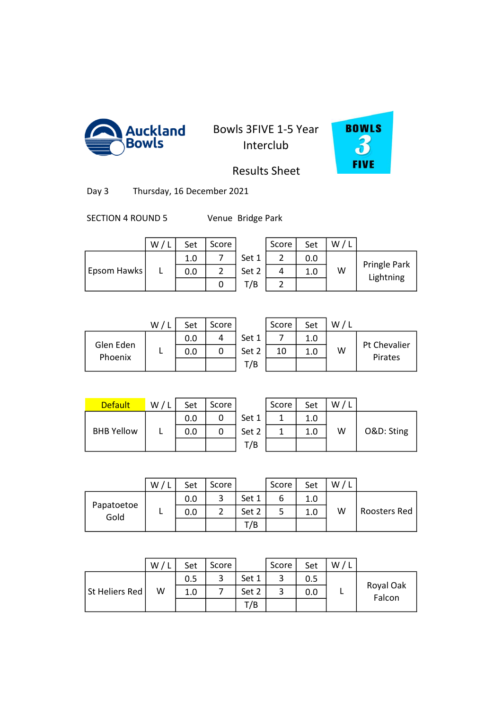



Results Sheet

Day 3 Thursday, 16 December 2021

SECTION 4 ROUND 5 Venue Bridge Park

|                    | W / L | Set | Score |       | Score | Set | W |
|--------------------|-------|-----|-------|-------|-------|-----|---|
|                    |       | 1.0 |       | Set 1 |       | 0.0 |   |
| <b>Epsom Hawks</b> |       | 0.0 |       | Set 2 |       | 1.0 | W |
|                    |       |     |       | T/B   |       |     |   |

| w           | Set | Score |       | Score | Set | w |                           |
|-------------|-----|-------|-------|-------|-----|---|---------------------------|
|             | 1.0 |       | Set 1 |       | 0.0 |   |                           |
| Epsom Hawks | 0.0 |       | Set 2 |       | 1.0 | W | Pringle Park<br>Lightning |
|             |     |       | T/B   |       |     |   |                           |
|             |     |       |       |       |     |   |                           |

|                      | W/ | Set | Score |       | Score | Set |   |
|----------------------|----|-----|-------|-------|-------|-----|---|
|                      |    | 0.0 |       | Set 1 |       | 1.0 |   |
| Glen Eden<br>Phoenix |    | 0.0 | 0     | Set 2 | 10    | 1.0 | W |
|                      |    |     |       | T/B   |       |     |   |
|                      |    |     |       |       |       |     |   |

|                      | W | Set | Score |       | Score | Set | W/1 |                         |
|----------------------|---|-----|-------|-------|-------|-----|-----|-------------------------|
|                      |   | 0.0 |       | Set 1 |       | 1.0 |     |                         |
| ilen Eden<br>Phoenix |   | 0.0 |       | Set 2 | 10    | 1.0 | W   | Pt Chevalier<br>Pirates |
|                      |   |     |       | T/B   |       |     |     |                         |

| <b>Default</b>    | W/L | Set | Score |       | Score | Set | W |
|-------------------|-----|-----|-------|-------|-------|-----|---|
|                   |     | 0.0 |       | Set 1 |       | 1.0 |   |
| <b>BHB Yellow</b> |     | 0.0 |       | Set 2 |       | 1.0 | w |
|                   |     |     |       | T/B   |       |     |   |

| <b>Default</b>    | W/L | Set | Score |       | Score | Set | W/1 |            |
|-------------------|-----|-----|-------|-------|-------|-----|-----|------------|
|                   |     | 0.0 |       | Set 1 |       | 1.0 |     |            |
| <b>BHB Yellow</b> |     | 0.0 |       | Set 2 |       | 1.0 | W   | O&D: Sting |
|                   |     |     |       | T/B   |       |     |     |            |

|                    | W | Set | Score         |       | Score | Set | W |              |
|--------------------|---|-----|---------------|-------|-------|-----|---|--------------|
| Papatoetoe<br>Gold |   | 0.0 | 3             | Set 1 | 6     | 1.0 |   |              |
|                    |   | 0.0 | $\mathcal{D}$ | Set 2 |       | 1.0 | W | Roosters Red |
|                    |   |     |               | T/B   |       |     |   |              |
|                    |   |     |               |       |       |     |   |              |

|                | W | Set | Score |       | Score | Set | W |                     |
|----------------|---|-----|-------|-------|-------|-----|---|---------------------|
|                |   | 0.5 | ີ     | Set 1 |       | 0.5 |   |                     |
| St Heliers Red | W | 1.0 |       | Set 2 |       | 0.0 |   | Royal Oak<br>Falcon |
|                |   |     |       | T/B   |       |     |   |                     |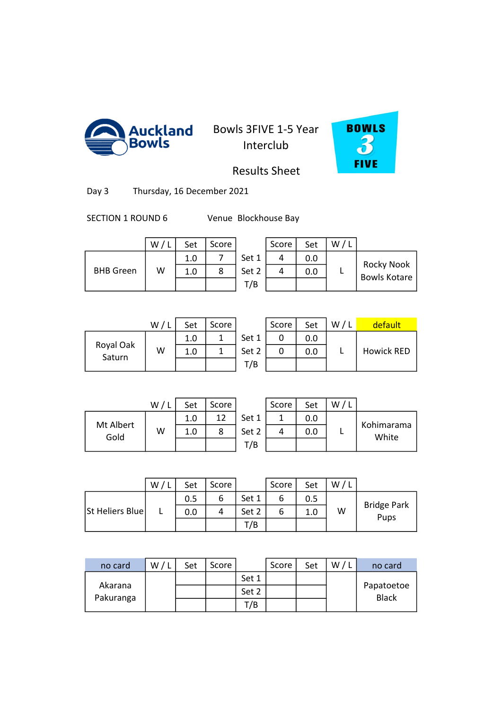



Results Sheet

Day 3 Thursday, 16 December 2021

SECTION 1 ROUND 6 Venue Blockhouse Bay

|                  | W | Set | Score |       | Score | Set | w |
|------------------|---|-----|-------|-------|-------|-----|---|
|                  |   | 1.0 |       | Set 1 |       | 0.0 |   |
| <b>BHB</b> Green | W | 1.0 | 8     | Set 2 |       | 0.0 |   |
|                  |   |     |       | T/B   |       |     |   |

|                  | W | Set | Score |       | Score | Set | W |                                          |
|------------------|---|-----|-------|-------|-------|-----|---|------------------------------------------|
|                  |   | 1.0 |       | Set 1 |       | 0.0 |   |                                          |
| <b>BHB Green</b> | w | 1.0 |       | Set 2 |       | 0.0 |   | <b>Rocky Nook</b><br><b>Bowls Kotare</b> |
|                  |   |     |       | T/B   |       |     |   |                                          |

|                     | W, | Set | Score |    |
|---------------------|----|-----|-------|----|
|                     |    | 1.0 |       | Sє |
| Royal Oak<br>Saturn | W  | 1.0 |       | šє |
|                     |    |     |       |    |

| W/L | Set | Score |       | Score | Set | W/L | default           |
|-----|-----|-------|-------|-------|-----|-----|-------------------|
|     | 1.0 |       | Set 1 |       | 0.0 |     |                   |
| W   | 1.0 |       | Set 2 |       | 0.0 |     | <b>Howick RED</b> |
|     |     |       | T/B   |       |     |     |                   |
|     |     |       |       |       |     |     |                   |

|                   | W/L | Set | Score |    |
|-------------------|-----|-----|-------|----|
|                   |     | 1.0 | 12    | Se |
| Mt Albert<br>Gold | W   | 1.0 |       | Se |
|                   |     |     |       |    |

|                  | W/I | Set | Score |       | Score | Set | w |                     |
|------------------|-----|-----|-------|-------|-------|-----|---|---------------------|
|                  |     | 1.0 | 12    | Set 1 |       | 0.0 |   |                     |
| t Albert<br>Gold | W   | 1.0 |       | Set 2 |       | 0.0 |   | Kohimarama<br>White |
|                  |     |     |       | 7В    |       |     |   |                     |

|                 | W | Set | Score |       | Score | Set | W |                            |
|-----------------|---|-----|-------|-------|-------|-----|---|----------------------------|
|                 |   | 0.5 | 6     | Set 1 | 6     | 0.5 |   |                            |
| St Heliers Blue |   | 0.0 | 4     | Set 2 | ь     | 1.0 | W | <b>Bridge Park</b><br>Pups |
|                 |   |     |       | T/B   |       |     |   |                            |
|                 |   |     |       |       |       |     |   |                            |

3 2.0 20 5 0.0 0

| no card   | w | Set | Score |       | Score | Set | w | no card                    |
|-----------|---|-----|-------|-------|-------|-----|---|----------------------------|
|           |   |     |       | Set 1 |       |     |   |                            |
| Akarana   |   |     |       | Set 2 |       |     |   | Papatoetoe<br><b>Black</b> |
| Pakuranga |   |     |       | Г/В   |       |     |   |                            |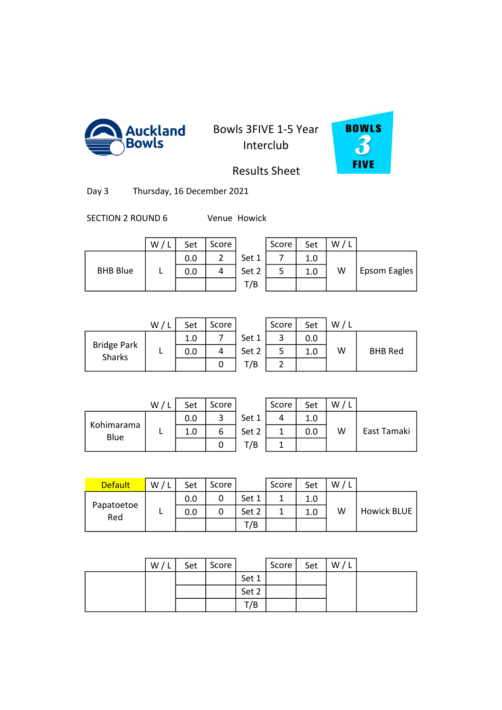



Results Sheet

Day 3 Thursday, 16 December 2021

SECTION 2 ROUND 6 Venue Howick

|                 | W | Set | Score |       | Score | Set | W |
|-----------------|---|-----|-------|-------|-------|-----|---|
|                 |   | 0.0 |       | Set 1 |       | 1.0 |   |
| <b>BHB Blue</b> |   | 0.0 |       | Set 2 |       | 1.0 | W |
|                 |   |     |       | T/B   |       |     |   |

|                 | W | Set | Score |       | Score | Set | W |                     |
|-----------------|---|-----|-------|-------|-------|-----|---|---------------------|
|                 |   | 0.0 | ◠     | Set 1 |       | 1.0 |   |                     |
| <b>BHB Blue</b> |   | 0.0 |       | Set 2 |       | 1.0 | W | <b>Epsom Eagles</b> |
|                 |   |     |       | T/B   |       |     |   |                     |

|                              | W/1 | Set | Score |       | Score | Set | W |
|------------------------------|-----|-----|-------|-------|-------|-----|---|
|                              |     | 1.0 |       | Set 1 |       | 0.0 |   |
| <b>Bridge Park</b><br>Sharks |     | 0.0 |       | Set 2 |       | 1.0 | W |
|                              |     |     | U     | T/B   |       |     |   |
|                              |     |     |       |       |       |     |   |

|                            | W | Set | Score |       | Score | Set | W / L |                |
|----------------------------|---|-----|-------|-------|-------|-----|-------|----------------|
|                            |   | 1.0 |       | Set 1 |       | 0.0 |       |                |
| idge Park<br><b>Sharks</b> |   | 0.0 |       | Set 2 |       | 1.0 | W     | <b>BHB Red</b> |
|                            |   |     |       | T/B   |       |     |       |                |

|                    | W/L | Set | Score |    |
|--------------------|-----|-----|-------|----|
|                    |     | 0.0 |       | S۴ |
| Kohimarama<br>Blue |     | 1.0 | h     | S٤ |
|                    |     |     | C     |    |

|                 | W/L | Set | Score |       | Score | Set | W/L |             |
|-----------------|-----|-----|-------|-------|-------|-----|-----|-------------|
|                 |     | 0.0 | 3     | Set 1 |       | 1.0 |     |             |
| imarama<br>Blue |     | 1.0 | 6     | Set 2 |       | 0.0 | W   | East Tamaki |
|                 |     |     |       | T/B   |       |     |     |             |
|                 |     |     |       |       |       |     |     |             |

| <b>Default</b>    | W / I | Set | Score |       | Score | Set | W |             |
|-------------------|-------|-----|-------|-------|-------|-----|---|-------------|
|                   |       | 0.0 |       | Set 1 |       | 1.0 |   |             |
| Papatoetoe<br>Red |       | 0.0 | 0     | Set 2 |       | 1.0 | w | Howick BLUE |
|                   |       |     |       | T/B   |       |     |   |             |
|                   |       |     |       |       |       |     |   |             |

| W/L | Set | Score |       | Score | Set | W/L |  |
|-----|-----|-------|-------|-------|-----|-----|--|
|     |     |       | Set 1 |       |     |     |  |
|     |     |       | Set 2 |       |     |     |  |
|     |     |       | T/B   |       |     |     |  |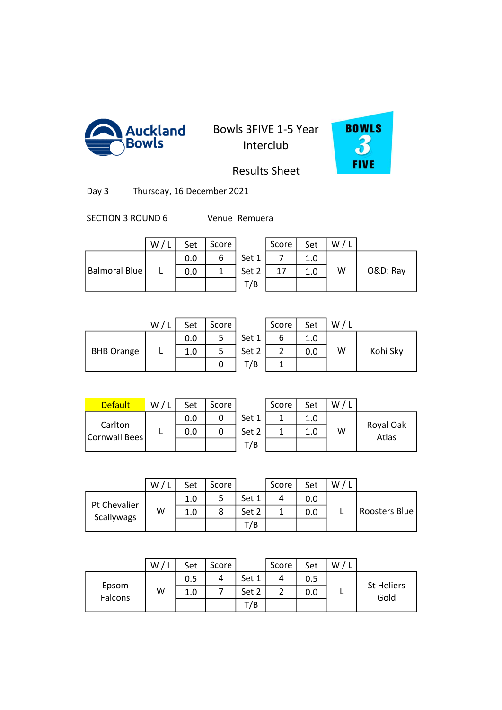



Results Sheet

Day 3 Thursday, 16 December 2021

SECTION 3 ROUND 6 Venue Remuera

|               | W | Set | Score |       | Score | Set | W/L |          |
|---------------|---|-----|-------|-------|-------|-----|-----|----------|
|               |   | 0.0 |       | Set 1 |       |     |     |          |
| Balmoral Blue |   | 0.0 |       | Set 2 | 17    | 1.0 | W   | O&D: Ray |
|               |   |     |       | T/B   |       |     |     |          |

| Set | Score |       | Score | Set | W/L |          |
|-----|-------|-------|-------|-----|-----|----------|
| 0.0 |       | Set 1 |       | 1.0 |     |          |
| 0.0 |       | Set 2 | 17    | 1.0 | W   | O&D: Ray |
|     |       | T/B   |       |     |     |          |

|                   | W | Set | Score |       | Score | Set | W |          |
|-------------------|---|-----|-------|-------|-------|-----|---|----------|
|                   |   | 0.0 |       | Set 1 | ь     | 1.0 |   |          |
| <b>BHB Orange</b> |   | 1.0 |       | Set 2 |       | 0.0 | W | Kohi Sky |
|                   |   |     |       | T/B   |       |     |   |          |

| W/L | Set | Score |       | Score | Set | W/L |          |
|-----|-----|-------|-------|-------|-----|-----|----------|
|     | 0.0 |       | Set 1 | 6     | 1.0 |     |          |
|     | 1.0 | 5     | Set 2 |       | 0.0 | W   | Kohi Sky |
|     |     | U     | T/B   |       |     |     |          |
|     |     |       |       |       |     |     |          |

| <b>Default</b>           | W / I | Set | Score |       | Score | Set | w |
|--------------------------|-------|-----|-------|-------|-------|-----|---|
| Carlton<br>Cornwall Bees |       | 0.0 |       | Set 1 |       | 1.0 |   |
|                          |       | 0.0 |       | Set 2 |       | 1.0 | W |
|                          |       |     |       | T/B   |       |     |   |

| <b>Default</b> | W / | Set | Score |       | Score | Set | W |                    |
|----------------|-----|-----|-------|-------|-------|-----|---|--------------------|
| Carlton        |     | 0.0 |       | Set 1 |       | 1.0 |   |                    |
| Cornwall Bees  |     | 0.0 |       | Set 2 |       |     | W | Royal Oak<br>Atlas |
|                |     |     |       | T/B   |       |     |   |                    |

|                            | W | Set | Score |       | Score | Set | W |               |
|----------------------------|---|-----|-------|-------|-------|-----|---|---------------|
| Pt Chevalier<br>Scallywags |   | 1.0 | 5     | Set 1 | 4     | 0.0 |   |               |
|                            | w | 1.0 | 8     | Set 2 |       | 0.0 |   | Roosters Blue |
|                            |   |     |       | T/B   |       |     |   |               |
|                            |   |     |       |       |       |     |   |               |

|         | W | Set | Score |       | Score | Set | W |                   |
|---------|---|-----|-------|-------|-------|-----|---|-------------------|
|         |   | 0.5 | 4     | Set 1 |       | 0.5 |   | <b>St Heliers</b> |
| Epsom   | W | 1.0 |       | Set 2 |       | 0.0 |   | Gold              |
| Falcons |   |     |       | T/B   |       |     |   |                   |